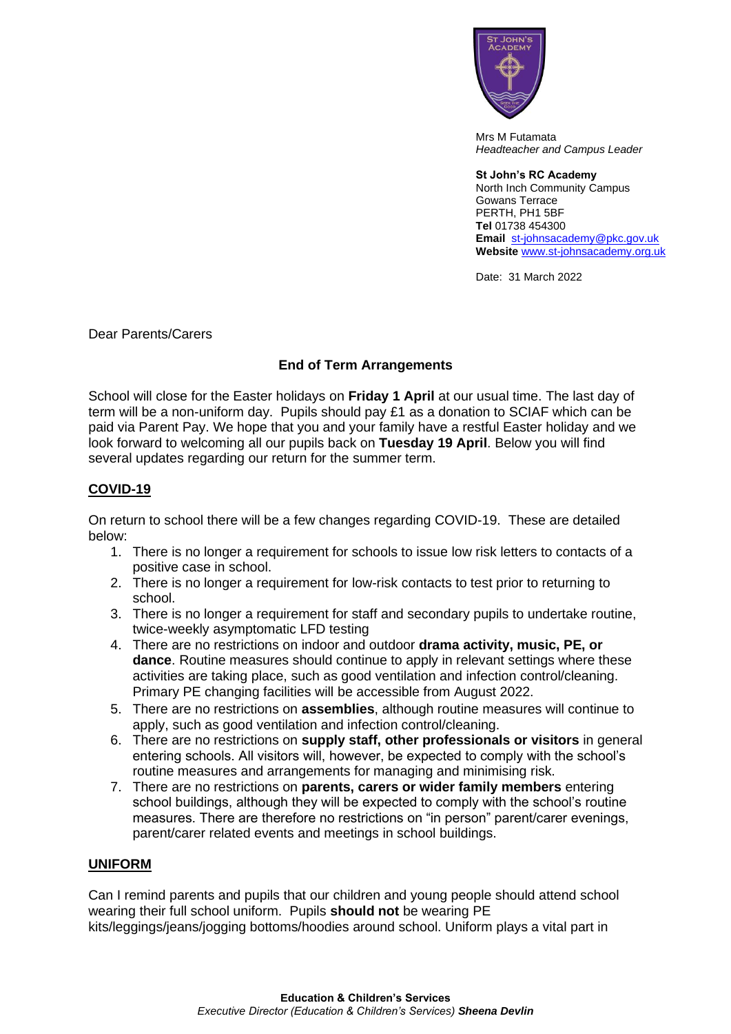

Mrs M Futamata *Headteacher and Campus Leader*

**St John's RC Academy**  North Inch Community Campus Gowans Terrace PERTH, PH1 5BF **Tel** 01738 454300 **Email** [st-johnsacademy@pkc.gov.uk](mailto:st-johnsacademy@pkc.gov.uk) **Website** [www.st-johnsacademy.org.uk](http://www.st-johnsacademy.org.uk/)

Date: 31 March 2022

Dear Parents/Carers

## **End of Term Arrangements**

School will close for the Easter holidays on **Friday 1 April** at our usual time. The last day of term will be a non-uniform day. Pupils should pay £1 as a donation to SCIAF which can be paid via Parent Pay. We hope that you and your family have a restful Easter holiday and we look forward to welcoming all our pupils back on **Tuesday 19 April**. Below you will find several updates regarding our return for the summer term.

## **COVID-19**

On return to school there will be a few changes regarding COVID-19. These are detailed below:

- 1. There is no longer a requirement for schools to issue low risk letters to contacts of a positive case in school.
- 2. There is no longer a requirement for low-risk contacts to test prior to returning to school.
- 3. There is no longer a requirement for staff and secondary pupils to undertake routine, twice-weekly asymptomatic LFD testing
- 4. There are no restrictions on indoor and outdoor **drama activity, music, PE, or dance**. Routine measures should continue to apply in relevant settings where these activities are taking place, such as good ventilation and infection control/cleaning. Primary PE changing facilities will be accessible from August 2022.
- 5. There are no restrictions on **assemblies**, although routine measures will continue to apply, such as good ventilation and infection control/cleaning.
- 6. There are no restrictions on **supply staff, other professionals or visitors** in general entering schools. All visitors will, however, be expected to comply with the school's routine measures and arrangements for managing and minimising risk.
- 7. There are no restrictions on **parents, carers or wider family members** entering school buildings, although they will be expected to comply with the school's routine measures. There are therefore no restrictions on "in person" parent/carer evenings, parent/carer related events and meetings in school buildings.

## **UNIFORM**

Can I remind parents and pupils that our children and young people should attend school wearing their full school uniform. Pupils **should not** be wearing PE kits/leggings/jeans/jogging bottoms/hoodies around school. Uniform plays a vital part in